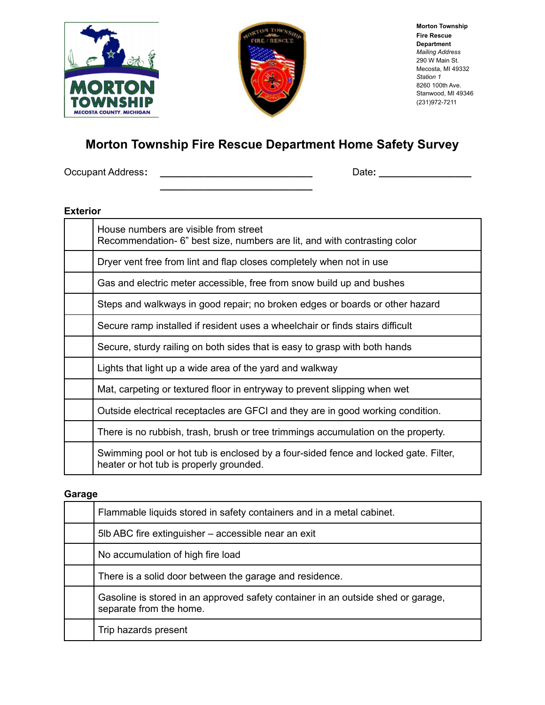



**Morton Township Fire Rescue Department** *Mailing Address* 290 W Main St. Mecosta, MI 49332 *Station 1* 8260 100th Ave. Stanwood, MI 49346 (231)972-7211

# **Morton Township Fire Rescue Department Home Safety Survey**

**\_\_\_\_\_\_\_\_\_\_\_\_\_\_\_\_\_\_\_\_\_\_\_\_\_\_\_\_**

Occupant Address**: \_\_\_\_\_\_\_\_\_\_\_\_\_\_\_\_\_\_\_\_\_\_\_\_\_\_\_\_** Date**: \_\_\_\_\_\_\_\_\_\_\_\_\_\_\_\_\_**

#### **Exterior**

| House numbers are visible from street<br>Recommendation- 6" best size, numbers are lit, and with contrasting color             |  |
|--------------------------------------------------------------------------------------------------------------------------------|--|
| Dryer vent free from lint and flap closes completely when not in use                                                           |  |
| Gas and electric meter accessible, free from snow build up and bushes                                                          |  |
| Steps and walkways in good repair; no broken edges or boards or other hazard                                                   |  |
| Secure ramp installed if resident uses a wheelchair or finds stairs difficult                                                  |  |
| Secure, sturdy railing on both sides that is easy to grasp with both hands                                                     |  |
| Lights that light up a wide area of the yard and walkway                                                                       |  |
| Mat, carpeting or textured floor in entryway to prevent slipping when wet                                                      |  |
| Outside electrical receptacles are GFCI and they are in good working condition.                                                |  |
| There is no rubbish, trash, brush or tree trimmings accumulation on the property.                                              |  |
| Swimming pool or hot tub is enclosed by a four-sided fence and locked gate. Filter,<br>heater or hot tub is properly grounded. |  |

#### **Garage**

| Flammable liquids stored in safety containers and in a metal cabinet.                                       |
|-------------------------------------------------------------------------------------------------------------|
| 5lb ABC fire extinguisher – accessible near an exit                                                         |
| No accumulation of high fire load                                                                           |
| There is a solid door between the garage and residence.                                                     |
| Gasoline is stored in an approved safety container in an outside shed or garage,<br>separate from the home. |
| Trip hazards present                                                                                        |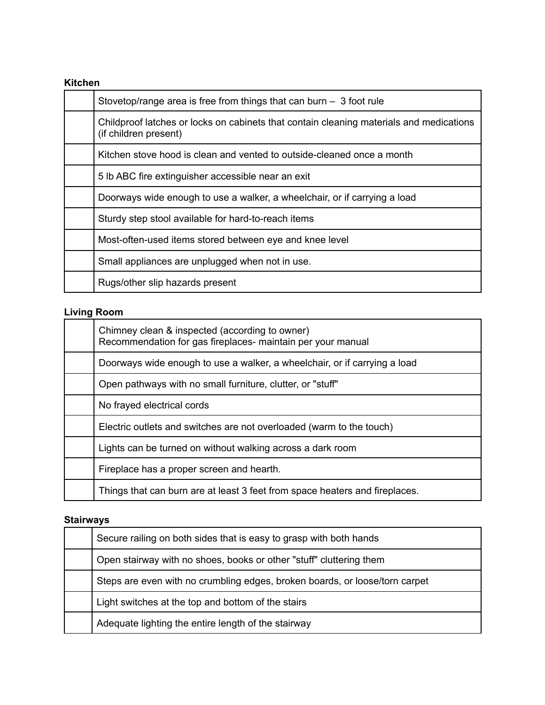## **Kitchen**

| Stovetop/range area is free from things that can burn $-$ 3 foot rule                                            |
|------------------------------------------------------------------------------------------------------------------|
| Childproof latches or locks on cabinets that contain cleaning materials and medications<br>(if children present) |
| Kitchen stove hood is clean and vented to outside-cleaned once a month                                           |
| 5 lb ABC fire extinguisher accessible near an exit                                                               |
| Doorways wide enough to use a walker, a wheelchair, or if carrying a load                                        |
| Sturdy step stool available for hard-to-reach items                                                              |
| Most-often-used items stored between eye and knee level                                                          |
| Small appliances are unplugged when not in use.                                                                  |
| Rugs/other slip hazards present                                                                                  |

# **Living Room**

| Chimney clean & inspected (according to owner)<br>Recommendation for gas fireplaces- maintain per your manual |
|---------------------------------------------------------------------------------------------------------------|
| Doorways wide enough to use a walker, a wheelchair, or if carrying a load                                     |
| Open pathways with no small furniture, clutter, or "stuff"                                                    |
| No frayed electrical cords                                                                                    |
| Electric outlets and switches are not overloaded (warm to the touch)                                          |
| Lights can be turned on without walking across a dark room                                                    |
| Fireplace has a proper screen and hearth.                                                                     |
| Things that can burn are at least 3 feet from space heaters and fireplaces.                                   |

# **Stairways**

| Secure railing on both sides that is easy to grasp with both hands          |  |
|-----------------------------------------------------------------------------|--|
| Open stairway with no shoes, books or other "stuff" cluttering them         |  |
| Steps are even with no crumbling edges, broken boards, or loose/torn carpet |  |
| Light switches at the top and bottom of the stairs                          |  |
| Adequate lighting the entire length of the stairway                         |  |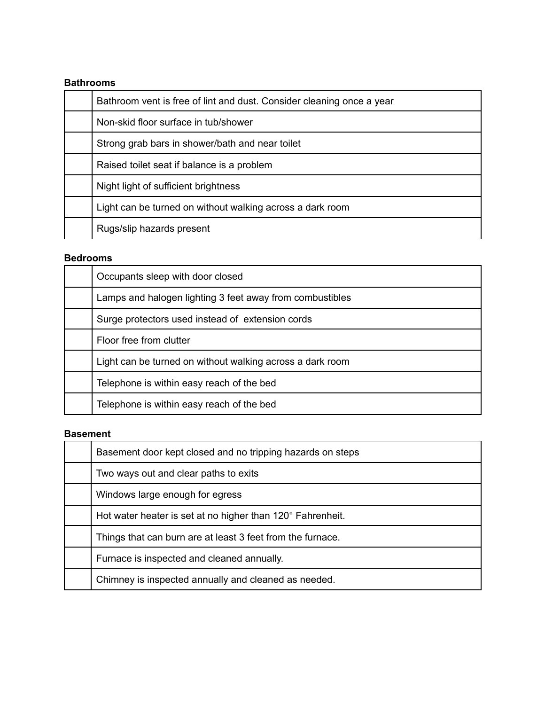#### **Bathrooms**

| Bathroom vent is free of lint and dust. Consider cleaning once a year |  |
|-----------------------------------------------------------------------|--|
| Non-skid floor surface in tub/shower                                  |  |
| Strong grab bars in shower/bath and near toilet                       |  |
| Raised toilet seat if balance is a problem                            |  |
| Night light of sufficient brightness                                  |  |
| Light can be turned on without walking across a dark room             |  |
| Rugs/slip hazards present                                             |  |

#### **Bedrooms**

| Occupants sleep with door closed                          |  |
|-----------------------------------------------------------|--|
| Lamps and halogen lighting 3 feet away from combustibles  |  |
| Surge protectors used instead of extension cords          |  |
| Floor free from clutter                                   |  |
| Light can be turned on without walking across a dark room |  |
| Telephone is within easy reach of the bed                 |  |
| Telephone is within easy reach of the bed                 |  |

### **Basement**

| Basement door kept closed and no tripping hazards on steps |  |
|------------------------------------------------------------|--|
| Two ways out and clear paths to exits                      |  |
| Windows large enough for egress                            |  |
| Hot water heater is set at no higher than 120° Fahrenheit. |  |
| Things that can burn are at least 3 feet from the furnace. |  |
| Furnace is inspected and cleaned annually.                 |  |
| Chimney is inspected annually and cleaned as needed.       |  |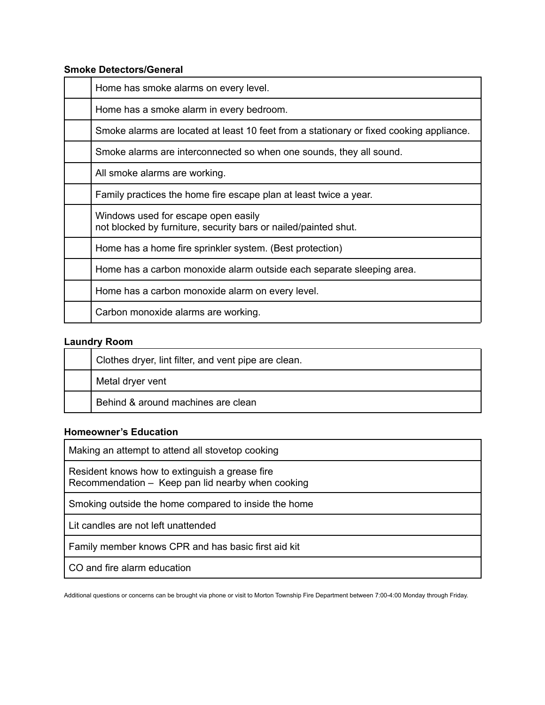#### **Smoke Detectors/General**

| Home has smoke alarms on every level.                                                                  |
|--------------------------------------------------------------------------------------------------------|
| Home has a smoke alarm in every bedroom.                                                               |
| Smoke alarms are located at least 10 feet from a stationary or fixed cooking appliance.                |
| Smoke alarms are interconnected so when one sounds, they all sound.                                    |
| All smoke alarms are working.                                                                          |
| Family practices the home fire escape plan at least twice a year.                                      |
| Windows used for escape open easily<br>not blocked by furniture, security bars or nailed/painted shut. |
| Home has a home fire sprinkler system. (Best protection)                                               |
| Home has a carbon monoxide alarm outside each separate sleeping area.                                  |
| Home has a carbon monoxide alarm on every level.                                                       |
| Carbon monoxide alarms are working.                                                                    |

## **Laundry Room**

| Clothes dryer, lint filter, and vent pipe are clean. |
|------------------------------------------------------|
| Metal dryer vent                                     |
| Behind & around machines are clean                   |

#### **Homeowner's Education**

| Making an attempt to attend all stovetop cooking                                                    |  |
|-----------------------------------------------------------------------------------------------------|--|
| Resident knows how to extinguish a grease fire<br>Recommendation - Keep pan lid nearby when cooking |  |
| Smoking outside the home compared to inside the home                                                |  |
| Lit candles are not left unattended                                                                 |  |
| Family member knows CPR and has basic first aid kit                                                 |  |
| CO and fire alarm education                                                                         |  |

Additional questions or concerns can be brought via phone or visit to Morton Township Fire Department between 7:00-4:00 Monday through Friday.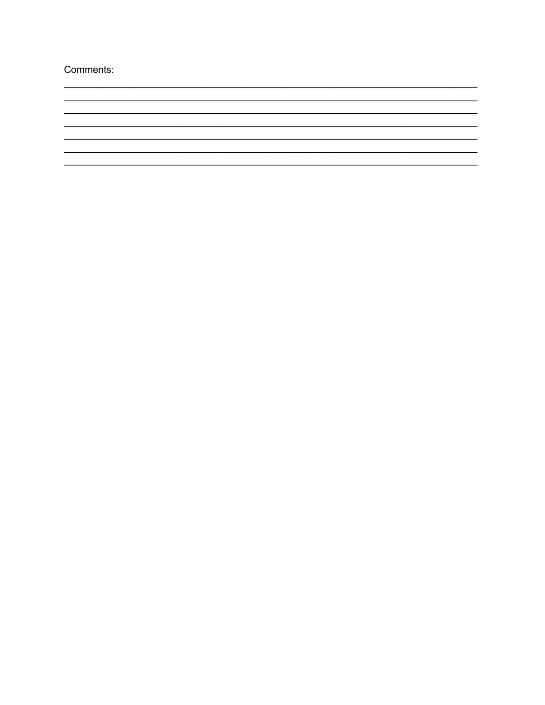Comments:

<u> 1989 - Johann John Stone, market fransk politiker (d. 1989)</u>